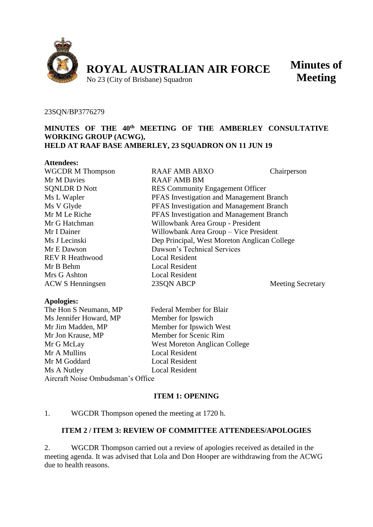

**Minutes of Meeting**

#### 23SQN/BP3776279

## **MINUTES OF THE 40th MEETING OF THE AMBERLEY CONSULTATIVE WORKING GROUP (ACWG), HELD AT RAAF BASE AMBERLEY, 23 SQUADRON ON 11 JUN 19**

| <b>Attendees:</b>       |                                              |                          |
|-------------------------|----------------------------------------------|--------------------------|
| <b>WGCDR M Thompson</b> | <b>RAAF AMB ABXO</b>                         | Chairperson              |
| Mr M Davies             | <b>RAAF AMB BM</b>                           |                          |
| <b>SQNLDR D Nott</b>    | <b>RES</b> Community Engagement Officer      |                          |
| Ms L Wapler             | PFAS Investigation and Management Branch     |                          |
| Ms V Glyde              | PFAS Investigation and Management Branch     |                          |
| Mr M Le Riche           | PFAS Investigation and Management Branch     |                          |
| Mr G Hatchman           | Willowbank Area Group - President            |                          |
| Mr I Dainer             | Willowbank Area Group - Vice President       |                          |
| Ms J Lecinski           | Dep Principal, West Moreton Anglican College |                          |
| Mr E Dawson             | Dawson's Technical Services                  |                          |
| <b>REV R Heathwood</b>  | Local Resident                               |                          |
| Mr B Behm               | <b>Local Resident</b>                        |                          |
| Mrs G Ashton            | <b>Local Resident</b>                        |                          |
| <b>ACW S Henningsen</b> | 23SON ABCP                                   | <b>Meeting Secretary</b> |
| .                       |                                              |                          |

### **Apologies:**

The Hon S Neumann, MP Federal Member for Blair Ms Jennifer Howard, MP Member for Ipswich Mr Jim Madden, MP Member for Ipswich West Mr Jon Krause, MP Member for Scenic Rim Mr G McLay West Moreton Anglican College Mr A Mullins Local Resident Mr M Goddard Local Resident Ms A Nutley Local Resident Aircraft Noise Ombudsman's Office

# **ITEM 1: OPENING**

### 1. WGCDR Thompson opened the meeting at 1720 h.

# **ITEM 2 / ITEM 3: REVIEW OF COMMITTEE ATTENDEES/APOLOGIES**

2. WGCDR Thompson carried out a review of apologies received as detailed in the meeting agenda. It was advised that Lola and Don Hooper are withdrawing from the ACWG due to health reasons.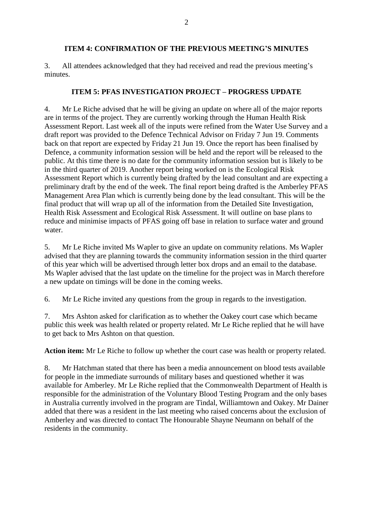### **ITEM 4: CONFIRMATION OF THE PREVIOUS MEETING'S MINUTES**

3. All attendees acknowledged that they had received and read the previous meeting's minutes.

### **ITEM 5: PFAS INVESTIGATION PROJECT – PROGRESS UPDATE**

4. Mr Le Riche advised that he will be giving an update on where all of the major reports are in terms of the project. They are currently working through the Human Health Risk Assessment Report. Last week all of the inputs were refined from the Water Use Survey and a draft report was provided to the Defence Technical Advisor on Friday 7 Jun 19. Comments back on that report are expected by Friday 21 Jun 19. Once the report has been finalised by Defence, a community information session will be held and the report will be released to the public. At this time there is no date for the community information session but is likely to be in the third quarter of 2019. Another report being worked on is the Ecological Risk Assessment Report which is currently being drafted by the lead consultant and are expecting a preliminary draft by the end of the week. The final report being drafted is the Amberley PFAS Management Area Plan which is currently being done by the lead consultant. This will be the final product that will wrap up all of the information from the Detailed Site Investigation, Health Risk Assessment and Ecological Risk Assessment. It will outline on base plans to reduce and minimise impacts of PFAS going off base in relation to surface water and ground water.

5. Mr Le Riche invited Ms Wapler to give an update on community relations. Ms Wapler advised that they are planning towards the community information session in the third quarter of this year which will be advertised through letter box drops and an email to the database. Ms Wapler advised that the last update on the timeline for the project was in March therefore a new update on timings will be done in the coming weeks.

6. Mr Le Riche invited any questions from the group in regards to the investigation.

7. Mrs Ashton asked for clarification as to whether the Oakey court case which became public this week was health related or property related. Mr Le Riche replied that he will have to get back to Mrs Ashton on that question.

**Action item:** Mr Le Riche to follow up whether the court case was health or property related.

8. Mr Hatchman stated that there has been a media announcement on blood tests available for people in the immediate surrounds of military bases and questioned whether it was available for Amberley. Mr Le Riche replied that the Commonwealth Department of Health is responsible for the administration of the Voluntary Blood Testing Program and the only bases in Australia currently involved in the program are Tindal, Williamtown and Oakey. Mr Dainer added that there was a resident in the last meeting who raised concerns about the exclusion of Amberley and was directed to contact The Honourable Shayne Neumann on behalf of the residents in the community.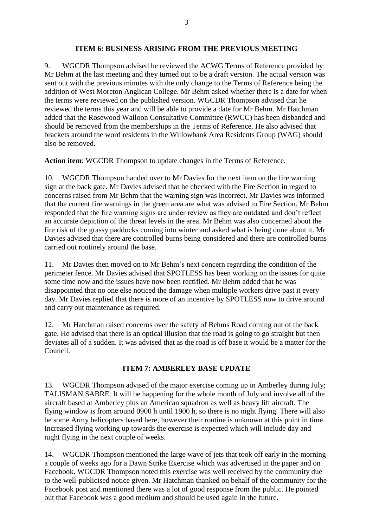9. WGCDR Thompson advised he reviewed the ACWG Terms of Reference provided by Mr Behm at the last meeting and they turned out to be a draft version. The actual version was sent out with the previous minutes with the only change to the Terms of Reference being the addition of West Moreton Anglican College. Mr Behm asked whether there is a date for when the terms were reviewed on the published version. WGCDR Thompson advised that he reviewed the terms this year and will be able to provide a date for Mr Behm. Mr Hatchman added that the Rosewood Walloon Consultative Committee (RWCC) has been disbanded and should be removed from the memberships in the Terms of Reference. He also advised that brackets around the word residents in the Willowbank Area Residents Group (WAG) should also be removed.

**Action item**: WGCDR Thompson to update changes in the Terms of Reference.

10. WGCDR Thompson handed over to Mr Davies for the next item on the fire warning sign at the back gate. Mr Davies advised that he checked with the Fire Section in regard to concerns raised from Mr Behm that the warning sign was incorrect. Mr Davies was informed that the current fire warnings in the green area are what was advised to Fire Section. Mr Behm responded that the fire warning signs are under review as they are outdated and don't reflect an accurate depiction of the threat levels in the area. Mr Behm was also concerned about the fire risk of the grassy paddocks coming into winter and asked what is being done about it. Mr Davies advised that there are controlled burns being considered and there are controlled burns carried out routinely around the base.

11. Mr Davies then moved on to Mr Behm's next concern regarding the condition of the perimeter fence. Mr Davies advised that SPOTLESS has been working on the issues for quite some time now and the issues have now been rectified. Mr Behm added that he was disappointed that no one else noticed the damage when multiple workers drive past it every day. Mr Davies replied that there is more of an incentive by SPOTLESS now to drive around and carry out maintenance as required.

12. Mr Hatchman raised concerns over the safety of Behms Road coming out of the back gate. He advised that there is an optical illusion that the road is going to go straight but then deviates all of a sudden. It was advised that as the road is off base it would be a matter for the Council.

# **ITEM 7: AMBERLEY BASE UPDATE**

13. WGCDR Thompson advised of the major exercise coming up in Amberley during July; TALISMAN SABRE. It will be happening for the whole month of July and involve all of the aircraft based at Amberley plus an American squadron as well as heavy lift aircraft. The flying window is from around 0900 h until 1900 h, so there is no night flying. There will also be some Army helicopters based here, however their routine is unknown at this point in time. Increased flying working up towards the exercise is expected which will include day and night flying in the next couple of weeks.

14. WGCDR Thompson mentioned the large wave of jets that took off early in the morning a couple of weeks ago for a Dawn Strike Exercise which was advertised in the paper and on Facebook. WGCDR Thompson noted this exercise was well received by the community due to the well-publicised notice given. Mr Hatchman thanked on behalf of the community for the Facebook post and mentioned there was a lot of good response from the public. He pointed out that Facebook was a good medium and should be used again in the future.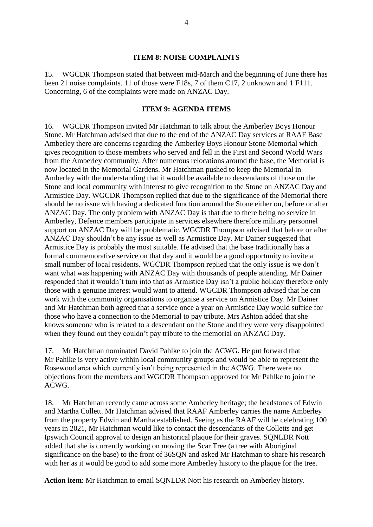#### **ITEM 8: NOISE COMPLAINTS**

15. WGCDR Thompson stated that between mid-March and the beginning of June there has been 21 noise complaints. 11 of those were F18s, 7 of them C17, 2 unknown and 1 F111. Concerning, 6 of the complaints were made on ANZAC Day.

#### **ITEM 9: AGENDA ITEMS**

16. WGCDR Thompson invited Mr Hatchman to talk about the Amberley Boys Honour Stone. Mr Hatchman advised that due to the end of the ANZAC Day services at RAAF Base Amberley there are concerns regarding the Amberley Boys Honour Stone Memorial which gives recognition to those members who served and fell in the First and Second World Wars from the Amberley community. After numerous relocations around the base, the Memorial is now located in the Memorial Gardens. Mr Hatchman pushed to keep the Memorial in Amberley with the understanding that it would be available to descendants of those on the Stone and local community with interest to give recognition to the Stone on ANZAC Day and Armistice Day. WGCDR Thompson replied that due to the significance of the Memorial there should be no issue with having a dedicated function around the Stone either on, before or after ANZAC Day. The only problem with ANZAC Day is that due to there being no service in Amberley, Defence members participate in services elsewhere therefore military personnel support on ANZAC Day will be problematic. WGCDR Thompson advised that before or after ANZAC Day shouldn't be any issue as well as Armistice Day. Mr Dainer suggested that Armistice Day is probably the most suitable. He advised that the base traditionally has a formal commemorative service on that day and it would be a good opportunity to invite a small number of local residents. WGCDR Thompson replied that the only issue is we don't want what was happening with ANZAC Day with thousands of people attending. Mr Dainer responded that it wouldn't turn into that as Armistice Day isn't a public holiday therefore only those with a genuine interest would want to attend. WGCDR Thompson advised that he can work with the community organisations to organise a service on Armistice Day. Mr Dainer and Mr Hatchman both agreed that a service once a year on Armistice Day would suffice for those who have a connection to the Memorial to pay tribute. Mrs Ashton added that she knows someone who is related to a descendant on the Stone and they were very disappointed when they found out they couldn't pay tribute to the memorial on ANZAC Day.

17. Mr Hatchman nominated David Pahlke to join the ACWG. He put forward that Mr Pahlke is very active within local community groups and would be able to represent the Rosewood area which currently isn't being represented in the ACWG. There were no objections from the members and WGCDR Thompson approved for Mr Pahlke to join the ACWG.

18. Mr Hatchman recently came across some Amberley heritage; the headstones of Edwin and Martha Collett. Mr Hatchman advised that RAAF Amberley carries the name Amberley from the property Edwin and Martha established. Seeing as the RAAF will be celebrating 100 years in 2021, Mr Hatchman would like to contact the descendants of the Colletts and get Ipswich Council approval to design an historical plaque for their graves. SQNLDR Nott added that she is currently working on moving the Scar Tree (a tree with Aboriginal significance on the base) to the front of 36SQN and asked Mr Hatchman to share his research with her as it would be good to add some more Amberley history to the plaque for the tree.

**Action item**: Mr Hatchman to email SQNLDR Nott his research on Amberley history.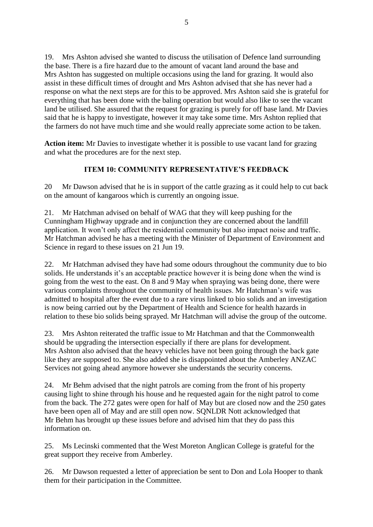19. Mrs Ashton advised she wanted to discuss the utilisation of Defence land surrounding the base. There is a fire hazard due to the amount of vacant land around the base and Mrs Ashton has suggested on multiple occasions using the land for grazing. It would also assist in these difficult times of drought and Mrs Ashton advised that she has never had a response on what the next steps are for this to be approved. Mrs Ashton said she is grateful for everything that has been done with the baling operation but would also like to see the vacant land be utilised. She assured that the request for grazing is purely for off base land. Mr Davies said that he is happy to investigate, however it may take some time. Mrs Ashton replied that the farmers do not have much time and she would really appreciate some action to be taken.

**Action item:** Mr Davies to investigate whether it is possible to use vacant land for grazing and what the procedures are for the next step.

# **ITEM 10: COMMUNITY REPRESENTATIVE'S FEEDBACK**

20 Mr Dawson advised that he is in support of the cattle grazing as it could help to cut back on the amount of kangaroos which is currently an ongoing issue.

21. Mr Hatchman advised on behalf of WAG that they will keep pushing for the Cunningham Highway upgrade and in conjunction they are concerned about the landfill application. It won't only affect the residential community but also impact noise and traffic. Mr Hatchman advised he has a meeting with the Minister of Department of Environment and Science in regard to these issues on 21 Jun 19.

22. Mr Hatchman advised they have had some odours throughout the community due to bio solids. He understands it's an acceptable practice however it is being done when the wind is going from the west to the east. On 8 and 9 May when spraying was being done, there were various complaints throughout the community of health issues. Mr Hatchman's wife was admitted to hospital after the event due to a rare virus linked to bio solids and an investigation is now being carried out by the Department of Health and Science for health hazards in relation to these bio solids being sprayed. Mr Hatchman will advise the group of the outcome.

23. Mrs Ashton reiterated the traffic issue to Mr Hatchman and that the Commonwealth should be upgrading the intersection especially if there are plans for development. Mrs Ashton also advised that the heavy vehicles have not been going through the back gate like they are supposed to. She also added she is disappointed about the Amberley ANZAC Services not going ahead anymore however she understands the security concerns.

24. Mr Behm advised that the night patrols are coming from the front of his property causing light to shine through his house and he requested again for the night patrol to come from the back. The 272 gates were open for half of May but are closed now and the 250 gates have been open all of May and are still open now. SQNLDR Nott acknowledged that Mr Behm has brought up these issues before and advised him that they do pass this information on.

25. Ms Lecinski commented that the West Moreton Anglican College is grateful for the great support they receive from Amberley.

26. Mr Dawson requested a letter of appreciation be sent to Don and Lola Hooper to thank them for their participation in the Committee.